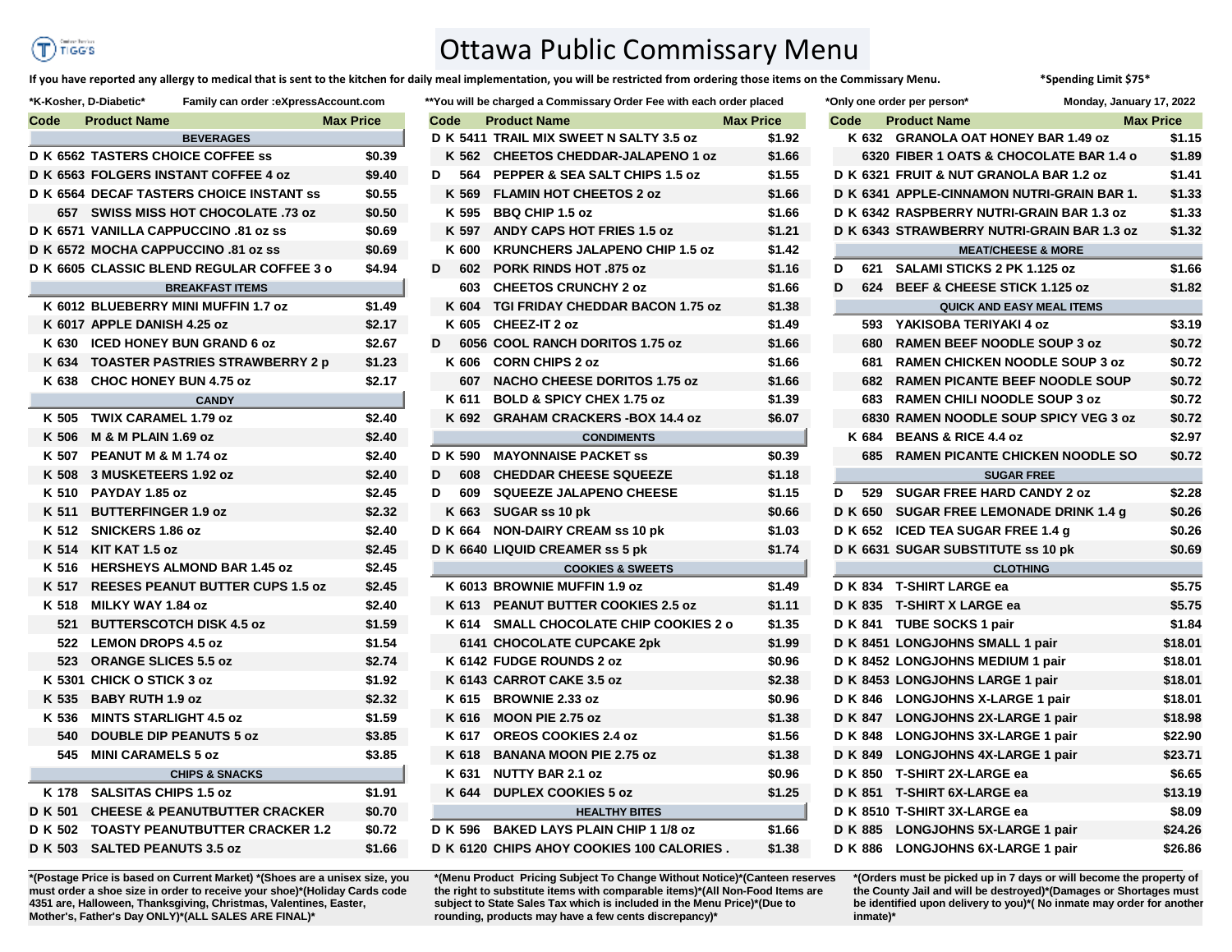## TIGG'S

## Ottawa Public Commissary Menu

**If you have reported any allergy to medical that is sent to the kitchen for daily meal implementation, you will be restricted from ordering those items on the Commissary Menu. \*Spending Limit \$75\***

|   |      |         | *You will be charged a Commissary Order Fee with each order placed |        |
|---|------|---------|--------------------------------------------------------------------|--------|
|   | Code |         | <b>Product Name</b><br><b>Max Price</b>                            |        |
|   |      |         | D K 5411 TRAIL MIX SWEET N SALTY 3.5 oz                            | \$1.92 |
|   |      | K 562   | <b>CHEETOS CHEDDAR-JALAPENO 1 oz</b>                               | \$1.66 |
|   | D    | 564     | PEPPER & SEA SALT CHIPS 1.5 oz                                     | \$1.55 |
|   |      | K 569   | <b>FLAMIN HOT CHEETOS 2 oz</b>                                     | \$1.66 |
|   |      |         | K 595 BBQ CHIP 1.5 oz                                              | \$1.66 |
|   |      | K 597   | <b>ANDY CAPS HOT FRIES 1.5 oz</b>                                  | \$1.21 |
|   |      | K 600   | <b>KRUNCHERS JALAPENO CHIP 1.5 oz</b>                              | \$1.42 |
| D |      | 602     | <b>PORK RINDS HOT .875 oz</b>                                      | \$1.16 |
|   |      | 603     | <b>CHEETOS CRUNCHY 2 oz</b>                                        | \$1.66 |
|   |      | K 604   | <b>TGI FRIDAY CHEDDAR BACON 1.75 oz</b>                            | \$1.38 |
|   |      | K 605   | CHEEZ-IT 2 oz                                                      | \$1.49 |
| D |      |         | 6056 COOL RANCH DORITOS 1.75 oz                                    | \$1.66 |
|   |      | K 606   | <b>CORN CHIPS 2 oz</b>                                             | \$1.66 |
|   |      | 607     | <b>NACHO CHEESE DORITOS 1.75 oz</b>                                | \$1.66 |
|   |      | K 611   | <b>BOLD &amp; SPICY CHEX 1.75 oz</b>                               | \$1.39 |
|   |      |         | K 692 GRAHAM CRACKERS-BOX 14.4 oz                                  | \$6.07 |
|   |      |         | <b>CONDIMENTS</b>                                                  |        |
|   |      | D K 590 | <b>MAYONNAISE PACKET ss</b>                                        | \$0.39 |
| D |      | 608     | <b>CHEDDAR CHEESE SQUEEZE</b>                                      | \$1.18 |
| D |      | 609     | <b>SQUEEZE JALAPENO CHEESE</b>                                     | \$1.15 |
|   |      |         | K 663 SUGAR ss 10 pk                                               | \$0.66 |
|   |      |         | D K 664 NON-DAIRY CREAM ss 10 pk                                   | \$1.03 |
|   |      |         | D K 6640 LIQUID CREAMER ss 5 pk                                    | \$1.74 |
|   |      |         | <b>COOKIES &amp; SWEETS</b>                                        |        |
|   |      |         | K 6013 BROWNIE MUFFIN 1.9 oz                                       | \$1.49 |
|   |      | K 613   | <b>PEANUT BUTTER COOKIES 2.5 oz</b>                                | \$1.11 |
|   |      |         | K 614 SMALL CHOCOLATE CHIP COOKIES 2 o                             | \$1.35 |
|   |      |         | 6141 CHOCOLATE CUPCAKE 2pk                                         | \$1.99 |
|   |      |         | K 6142 FUDGE ROUNDS 2 oz                                           | \$0.96 |
|   |      |         | K 6143 CARROT CAKE 3.5 oz                                          | \$2.38 |
|   |      |         | K 615 BROWNIE 2.33 oz                                              | \$0.96 |
|   |      | K 616   | <b>MOON PIE 2.75 oz</b>                                            | \$1.38 |
|   |      | K 617   | <b>OREOS COOKIES 2.4 oz</b>                                        | \$1.56 |
|   |      | K 618   | <b>BANANA MOON PIE 2.75 oz</b>                                     | \$1.38 |
|   |      | K 631   | <b>NUTTY BAR 2.1 oz</b>                                            | \$0.96 |
|   |      |         | K 644 DUPLEX COOKIES 5 oz                                          | \$1.25 |
|   |      |         | <b>HEALTHY BITES</b>                                               |        |
|   |      |         | D K 596 BAKED LAYS PLAIN CHIP 1 1/8 oz                             | \$1.66 |
|   |      |         | D K 6120 CHIPS AHOY COOKIES 100 CALORIES.                          | \$1.38 |
|   |      |         |                                                                    |        |

**\*(Menu Product Pricing Subject To Change Without Notice)\*(Canteen reserves the right to substitute items with comparable items)\*(All Non-Food Items are subject to State Sales Tax which is included in the Menu Price)\*(Due to rounding, products may have a few cents discrepancy)\*** 

|         | K-Kosher, D-Diabetic*                       | Family can order :eXpressAccount.com |        |      |         | **You will be charged a Commissary Order Fee with each order placed |                  |      |     | *Only one order per person*                | Monday, January 17, 2022 |                  |
|---------|---------------------------------------------|--------------------------------------|--------|------|---------|---------------------------------------------------------------------|------------------|------|-----|--------------------------------------------|--------------------------|------------------|
| Code    | <b>Product Name</b>                         | <b>Max Price</b>                     |        | Code |         | <b>Product Name</b>                                                 | <b>Max Price</b> | Code |     | <b>Product Name</b>                        |                          | <b>Max Price</b> |
|         | <b>BEVERAGES</b>                            |                                      |        |      |         | D K 5411 TRAIL MIX SWEET N SALTY 3.5 oz                             | \$1.92           |      |     | K 632 GRANOLA OAT HONEY BAR 1.49 oz        |                          | \$1.15           |
|         | <b>D K 6562 TASTERS CHOICE COFFEE ss</b>    |                                      | \$0.39 |      |         | K 562 CHEETOS CHEDDAR-JALAPENO 1 oz                                 | \$1.66           |      |     | 6320 FIBER 1 OATS & CHOCOLATE BAR 1.4 o    |                          | \$1.89           |
|         | <b>D K 6563 FOLGERS INSTANT COFFEE 4 oz</b> |                                      | \$9.40 | D    |         | 564 PEPPER & SEA SALT CHIPS 1.5 oz                                  | \$1.55           |      |     | D K 6321 FRUIT & NUT GRANOLA BAR 1.2 oz    |                          | \$1.41           |
|         | D K 6564 DECAF TASTERS CHOICE INSTANT ss    |                                      | \$0.55 |      | K 569   | <b>FLAMIN HOT CHEETOS 2 oz</b>                                      | \$1.66           |      |     | D K 6341 APPLE-CINNAMON NUTRI-GRAIN BAR 1. |                          | \$1.33           |
|         | 657 SWISS MISS HOT CHOCOLATE .73 oz         |                                      | \$0.50 |      | K 595   | <b>BBQ CHIP 1.5 oz</b>                                              | \$1.66           |      |     | D K 6342 RASPBERRY NUTRI-GRAIN BAR 1.3 oz  |                          | \$1.33           |
|         | D K 6571 VANILLA CAPPUCCINO .81 oz ss       |                                      | \$0.69 |      | K 597   | <b>ANDY CAPS HOT FRIES 1.5 oz</b>                                   | \$1.21           |      |     | D K 6343 STRAWBERRY NUTRI-GRAIN BAR 1.3 oz |                          | \$1.32           |
|         | D K 6572 MOCHA CAPPUCCINO .81 oz ss         |                                      | \$0.69 |      | K 600   | <b>KRUNCHERS JALAPENO CHIP 1.5 oz</b>                               | \$1.42           |      |     | <b>MEAT/CHEESE &amp; MORE</b>              |                          |                  |
|         | D K 6605 CLASSIC BLEND REGULAR COFFEE 3 o   |                                      | \$4.94 | D    | 602     | <b>PORK RINDS HOT .875 oz</b>                                       | \$1.16           | D    |     | 621 SALAMI STICKS 2 PK 1.125 oz            |                          | \$1.66           |
|         | <b>BREAKFAST ITEMS</b>                      |                                      |        |      |         | 603 CHEETOS CRUNCHY 2 oz                                            | \$1.66           | D    |     | 624 BEEF & CHEESE STICK 1.125 oz           |                          | \$1.82           |
|         | K 6012 BLUEBERRY MINI MUFFIN 1.7 oz         |                                      | \$1.49 |      | K 604   | TGI FRIDAY CHEDDAR BACON 1.75 oz                                    | \$1.38           |      |     | <b>QUICK AND EASY MEAL ITEMS</b>           |                          |                  |
|         | K 6017 APPLE DANISH 4.25 oz                 |                                      | \$2.17 |      | K 605   | <b>CHEEZ-IT 2 oz</b>                                                | \$1.49           |      |     | 593 YAKISOBA TERIYAKI 4 oz                 |                          | \$3.19           |
|         | K 630 ICED HONEY BUN GRAND 6 oz             |                                      | \$2.67 | D    |         | 6056 COOL RANCH DORITOS 1.75 oz                                     | \$1.66           |      |     | 680 RAMEN BEEF NOODLE SOUP 3 oz            |                          | \$0.72           |
|         | K 634 TOASTER PASTRIES STRAWBERRY 2 p       |                                      | \$1.23 |      | K 606   | <b>CORN CHIPS 2 oz</b>                                              | \$1.66           |      | 681 | <b>RAMEN CHICKEN NOODLE SOUP 3 oz</b>      |                          | \$0.72           |
|         | K 638 CHOC HONEY BUN 4.75 oz                |                                      | \$2.17 |      |         | 607 NACHO CHEESE DORITOS 1.75 oz                                    | \$1.66           |      |     | 682 RAMEN PICANTE BEEF NOODLE SOUP         |                          | \$0.72           |
|         | <b>CANDY</b>                                |                                      |        |      | K 611   | <b>BOLD &amp; SPICY CHEX 1.75 oz</b>                                | \$1.39           |      |     | 683 RAMEN CHILI NOODLE SOUP 3 oz           |                          | \$0.72           |
|         | K 505 TWIX CARAMEL 1.79 oz                  |                                      | \$2.40 |      | K 692   | <b>GRAHAM CRACKERS - BOX 14.4 oz</b>                                | \$6.07           |      |     | 6830 RAMEN NOODLE SOUP SPICY VEG 3 oz      |                          | \$0.72           |
| K 506   | <b>M &amp; M PLAIN 1.69 oz</b>              |                                      | \$2.40 |      |         | <b>CONDIMENTS</b>                                                   |                  |      |     | K 684 BEANS & RICE 4.4 oz                  |                          | \$2.97           |
|         | K 507 PEANUT M & M 1.74 oz                  |                                      | \$2.40 |      |         | D K 590 MAYONNAISE PACKET SS                                        | \$0.39           |      |     | 685 RAMEN PICANTE CHICKEN NOODLE SO        |                          | \$0.72           |
|         | K 508 3 MUSKETEERS 1.92 oz                  |                                      | \$2.40 | D    | 608     | <b>CHEDDAR CHEESE SQUEEZE</b>                                       | \$1.18           |      |     | <b>SUGAR FREE</b>                          |                          |                  |
|         | K 510 PAYDAY 1.85 oz                        |                                      | \$2.45 | D    |         | 609 SQUEEZE JALAPENO CHEESE                                         | \$1.15           | D    |     | 529 SUGAR FREE HARD CANDY 2 oz             |                          | \$2.28           |
| K 511   | <b>BUTTERFINGER 1.9 oz</b>                  |                                      | \$2.32 |      |         | K 663 SUGAR ss 10 pk                                                | \$0.66           |      |     | D K 650 SUGAR FREE LEMONADE DRINK 1.4 g    |                          | \$0.26           |
| K 512   | <b>SNICKERS 1.86 oz</b>                     |                                      | \$2.40 |      | D K 664 | <b>NON-DAIRY CREAM ss 10 pk</b>                                     | \$1.03           |      |     | D K 652 ICED TEA SUGAR FREE 1.4 g          |                          | \$0.26           |
|         | K 514 KIT KAT 1.5 oz                        |                                      | \$2.45 |      |         | D K 6640 LIQUID CREAMER ss 5 pk                                     | \$1.74           |      |     | D K 6631 SUGAR SUBSTITUTE ss 10 pk         |                          | \$0.69           |
|         | K 516 HERSHEYS ALMOND BAR 1.45 oz           |                                      | \$2.45 |      |         | <b>COOKIES &amp; SWEETS</b>                                         |                  |      |     | <b>CLOTHING</b>                            |                          |                  |
|         | K 517 REESES PEANUT BUTTER CUPS 1.5 oz      |                                      | \$2.45 |      |         | K 6013 BROWNIE MUFFIN 1.9 oz                                        | \$1.49           |      |     | D K 834 T-SHIRT LARGE ea                   |                          | \$5.75           |
|         | K 518 MILKY WAY 1.84 oz                     |                                      | \$2.40 |      |         | K 613 PEANUT BUTTER COOKIES 2.5 oz                                  | \$1.11           |      |     | D K 835 T-SHIRT X LARGE ea                 |                          | \$5.75           |
| 521     | <b>BUTTERSCOTCH DISK 4.5 oz</b>             |                                      | \$1.59 |      |         | K 614 SMALL CHOCOLATE CHIP COOKIES 2 o                              | \$1.35           |      |     | D K 841 TUBE SOCKS 1 pair                  |                          | \$1.84           |
| 522     | <b>LEMON DROPS 4.5 oz</b>                   |                                      | \$1.54 |      |         | 6141 CHOCOLATE CUPCAKE 2pk                                          | \$1.99           |      |     | D K 8451 LONGJOHNS SMALL 1 pair            |                          | \$18.01          |
| 523     | <b>ORANGE SLICES 5.5 oz</b>                 |                                      | \$2.74 |      |         | K 6142 FUDGE ROUNDS 2 oz                                            | \$0.96           |      |     | D K 8452 LONGJOHNS MEDIUM 1 pair           |                          | \$18.01          |
|         | K 5301 CHICK O STICK 3 oz                   |                                      | \$1.92 |      |         | K 6143 CARROT CAKE 3.5 oz                                           | \$2.38           |      |     | D K 8453 LONGJOHNS LARGE 1 pair            |                          | \$18.01          |
| K 535   | <b>BABY RUTH 1.9 oz</b>                     |                                      | \$2.32 |      |         | K 615 BROWNIE 2.33 oz                                               | \$0.96           |      |     | D K 846 LONGJOHNS X-LARGE 1 pair           |                          | \$18.01          |
| K 536   | <b>MINTS STARLIGHT 4.5 oz</b>               |                                      | \$1.59 |      |         | K 616 MOON PIE 2.75 oz                                              | \$1.38           |      |     | D K 847 LONGJOHNS 2X-LARGE 1 pair          |                          | \$18.98          |
| 540     | <b>DOUBLE DIP PEANUTS 5 oz</b>              |                                      | \$3.85 |      |         | K 617 OREOS COOKIES 2.4 oz                                          | \$1.56           |      |     | D K 848 LONGJOHNS 3X-LARGE 1 pair          |                          | \$22.90          |
| 545     | <b>MINI CARAMELS 5 oz</b>                   |                                      | \$3.85 |      |         | K 618 BANANA MOON PIE 2.75 oz                                       | \$1.38           |      |     | D K 849 LONGJOHNS 4X-LARGE 1 pair          |                          | \$23.71          |
|         | <b>CHIPS &amp; SNACKS</b>                   |                                      |        |      | K 631   | <b>NUTTY BAR 2.1 oz</b>                                             | \$0.96           |      |     | D K 850 T-SHIRT 2X-LARGE ea                |                          | \$6.65           |
| K 178   | <b>SALSITAS CHIPS 1.5 oz</b>                |                                      | \$1.91 |      | K 644   | <b>DUPLEX COOKIES 5 oz</b>                                          | \$1.25           |      |     | D K 851 T-SHIRT 6X-LARGE ea                |                          | \$13.19          |
| D K 501 | <b>CHEESE &amp; PEANUTBUTTER CRACKER</b>    |                                      | \$0.70 |      |         | <b>HEALTHY BITES</b>                                                |                  |      |     | D K 8510 T-SHIRT 3X-LARGE ea               |                          | \$8.09           |
| D K 502 | <b>TOASTY PEANUTBUTTER CRACKER 1.2</b>      |                                      | \$0.72 |      |         | D K 596 BAKED LAYS PLAIN CHIP 1 1/8 oz                              | \$1.66           |      |     | D K 885 LONGJOHNS 5X-LARGE 1 pair          |                          | \$24.26          |
|         | D K 503 SALTED PEANUTS 3.5 oz               |                                      | \$1.66 |      |         | D K 6120 CHIPS AHOY COOKIES 100 CALORIES.                           | \$1.38           |      |     | D K 886 LONGJOHNS 6X-LARGE 1 pair          |                          | \$26.86          |

**\*(Orders must be picked up in 7 days or will become the property of the County Jail and will be destroyed)\*(Damages or Shortages must be identified upon delivery to you)\*( No inmate may order for another inmate)\***